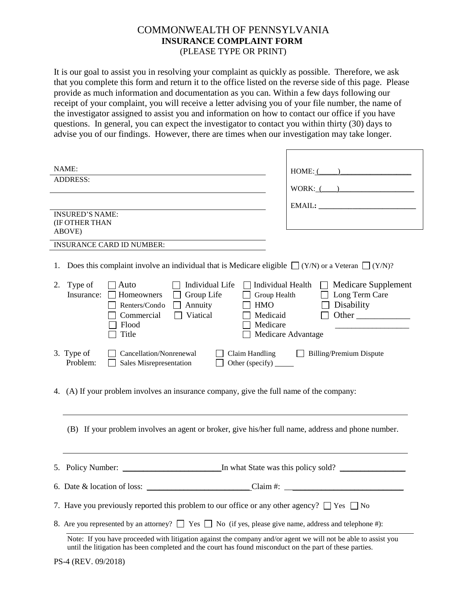## COMMONWEALTH OF PENNSYLVANIA **INSURANCE COMPLAINT FORM** (PLEASE TYPE OR PRINT)

It is our goal to assist you in resolving your complaint as quickly as possible. Therefore, we ask that you complete this form and return it to the office listed on the reverse side of this page. Please provide as much information and documentation as you can. Within a few days following our receipt of your complaint, you will receive a letter advising you of your file number, the name of the investigator assigned to assist you and information on how to contact our office if you have questions. In general, you can expect the investigator to contact you within thirty (30) days to advise you of our findings. However, there are times when our investigation may take longer.

| NAME:                                                                                                                                                       | HOME: (                                      |
|-------------------------------------------------------------------------------------------------------------------------------------------------------------|----------------------------------------------|
| <b>ADDRESS:</b>                                                                                                                                             |                                              |
|                                                                                                                                                             | WORK: (                                      |
|                                                                                                                                                             |                                              |
| <b>INSURED'S NAME:</b>                                                                                                                                      |                                              |
| (IF OTHER THAN<br>ABOVE)                                                                                                                                    |                                              |
| <b>INSURANCE CARD ID NUMBER:</b>                                                                                                                            |                                              |
|                                                                                                                                                             |                                              |
| Does this complaint involve an individual that is Medicare eligible $\Box$ (Y/N) or a Veteran $\Box$ (Y/N)?<br>1.                                           |                                              |
| Individual Life<br>Type of<br>$\Box$ Auto<br>2.                                                                                                             | Individual Health $\Box$ Medicare Supplement |
| Group Life<br>Insurance:<br>Homeowners                                                                                                                      | Group Health $\Box$ Long Term Care           |
| Annuity<br><b>HMO</b><br>Renters/Condo                                                                                                                      | Disability                                   |
| Viatical<br>Medicaid<br>Commercial<br>Medicare<br>Flood                                                                                                     | Other                                        |
| Title                                                                                                                                                       | Medicare Advantage                           |
|                                                                                                                                                             |                                              |
| 3. Type of<br>Cancellation/Nonrenewal<br>Claim Handling<br><b>Billing/Premium Dispute</b><br>Problem:<br>Other (specify) _______<br>Sales Misrepresentation |                                              |
|                                                                                                                                                             |                                              |
|                                                                                                                                                             |                                              |
| 4. (A) If your problem involves an insurance company, give the full name of the company:                                                                    |                                              |
|                                                                                                                                                             |                                              |
|                                                                                                                                                             |                                              |
| (B) If your problem involves an agent or broker, give his/her full name, address and phone number.                                                          |                                              |
|                                                                                                                                                             |                                              |
|                                                                                                                                                             |                                              |
|                                                                                                                                                             |                                              |
|                                                                                                                                                             |                                              |
|                                                                                                                                                             |                                              |
| 7. Have you previously reported this problem to our office or any other agency? $\Box$ Yes $\Box$ No                                                        |                                              |
| 8. Are you represented by an attorney? $\Box$ Yes $\Box$ No (if yes, please give name, address and telephone #):                                            |                                              |
| Note: If you have proceeded with litigation against the company and/or agent we will not be able to assist you                                              |                                              |
| until the litigation has been completed and the court has found misconduct on the part of these parties.                                                    |                                              |